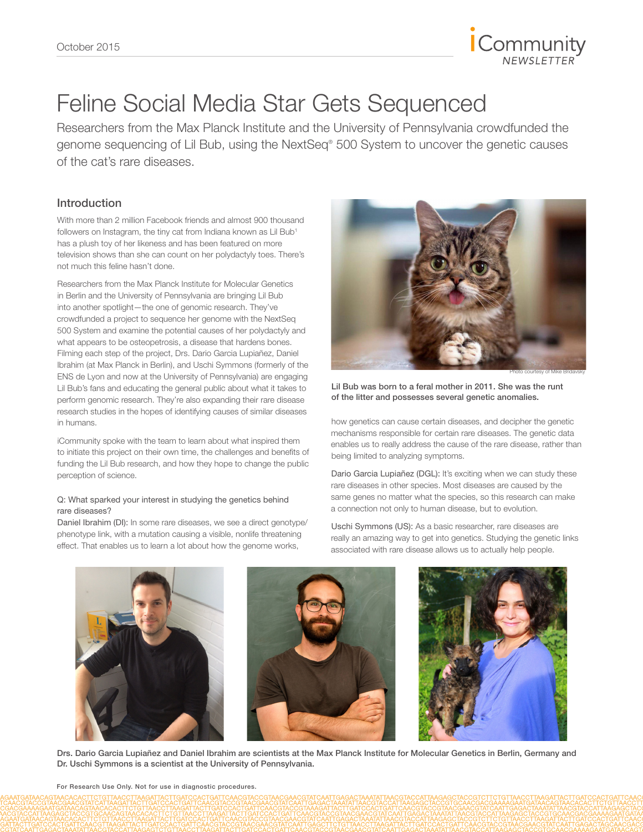

# Feline Social Media Star Gets Sequenced

Researchers from the Max Planck Institute and the University of Pennsylvania crowdfunded the genome sequencing of Lil Bub, using the NextSeq® 500 System to uncover the genetic causes of the cat's rare diseases.

# Introduction

With more than 2 million Facebook friends and almost 900 thousand followers on Instagram, the tiny cat from Indiana known as Lil Bub<sup>1</sup> has a plush toy of her likeness and has been featured on more television shows than she can count on her polydactyly toes. There's not much this feline hasn't done.

Researchers from the Max Planck Institute for Molecular Genetics in Berlin and the University of Pennsylvania are bringing Lil Bub into another spotlight—the one of genomic research. They've crowdfunded a project to sequence her genome with the NextSeq 500 System and examine the potential causes of her polydactyly and what appears to be osteopetrosis, a disease that hardens bones. Filming each step of the project, Drs. Dario Garcia Lupiañez, Daniel Ibrahim (at Max Planck in Berlin), and Uschi Symmons (formerly of the ENS de Lyon and now at the University of Pennsylvania) are engaging Lil Bub's fans and educating the general public about what it takes to perform genomic research. They're also expanding their rare disease research studies in the hopes of identifying causes of similar diseases in humans.

iCommunity spoke with the team to learn about what inspired them to initiate this project on their own time, the challenges and benefits of funding the Lil Bub research, and how they hope to change the public perception of science.

#### Q: What sparked your interest in studying the genetics behind rare diseases?

Daniel Ibrahim (DI): In some rare diseases, we see a direct genotype/ phenotype link, with a mutation causing a visible, nonlife threatening effect. That enables us to learn a lot about how the genome works,



Lil Bub was born to a feral mother in 2011. She was the runt of the litter and possesses several genetic anomalies.

how genetics can cause certain diseases, and decipher the genetic mechanisms responsible for certain rare diseases. The genetic data enables us to really address the cause of the rare disease, rather than being limited to analyzing symptoms.

Dario Garcia Lupiañez (DGL): It's exciting when we can study these rare diseases in other species. Most diseases are caused by the same genes no matter what the species, so this research can make a connection not only to human disease, but to evolution.

Uschi Symmons (US): As a basic researcher, rare diseases are really an amazing way to get into genetics. Studying the genetic links associated with rare disease allows us to actually help people.



Drs. Dario Garcia Lupiañez and Daniel Ibrahim are scientists at the Max Planck Institute for Molecular Genetics in Berlin, Germany and Dr. Uschi Symmons is a scientist at the University of Pennsylvania.

For Research Use Only. Not for use in diagnostic procedures.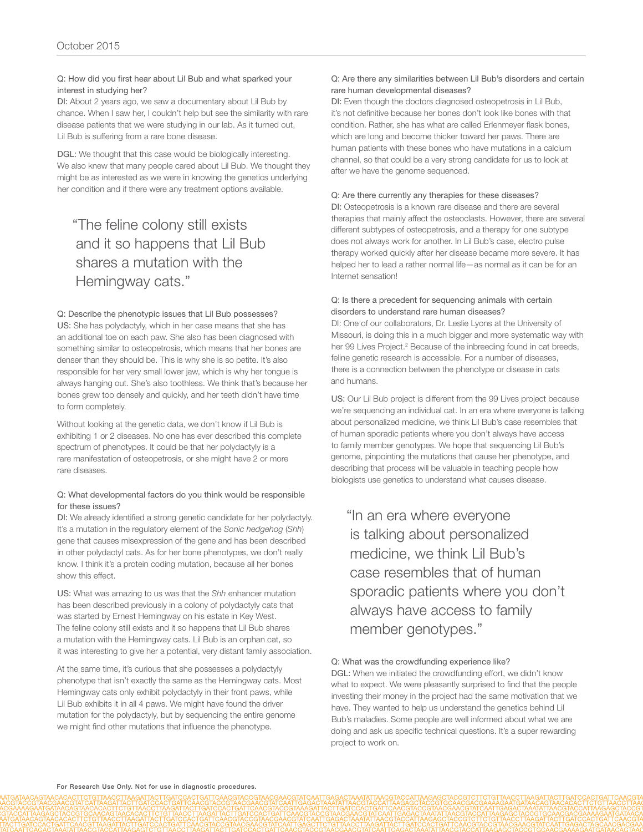#### Q: How did you first hear about Lil Bub and what sparked your interest in studying her?

DI: About 2 years ago, we saw a documentary about Lil Bub by chance. When I saw her, I couldn't help but see the similarity with rare disease patients that we were studying in our lab. As it turned out, Lil Bub is suffering from a rare bone disease.

DGL: We thought that this case would be biologically interesting. We also knew that many people cared about Lil Bub. We thought they might be as interested as we were in knowing the genetics underlying her condition and if there were any treatment options available.

# "The feline colony still exists and it so happens that Lil Bub shares a mutation with the Hemingway cats."

#### Q: Describe the phenotypic issues that Lil Bub possesses?

US: She has polydactyly, which in her case means that she has an additional toe on each paw. She also has been diagnosed with something similar to osteopetrosis, which means that her bones are denser than they should be. This is why she is so petite. It's also responsible for her very small lower jaw, which is why her tongue is always hanging out. She's also toothless. We think that's because her bones grew too densely and quickly, and her teeth didn't have time to form completely.

Without looking at the genetic data, we don't know if Lil Bub is exhibiting 1 or 2 diseases. No one has ever described this complete spectrum of phenotypes. It could be that her polydactyly is a rare manifestation of osteopetrosis, or she might have 2 or more rare diseases.

#### Q: What developmental factors do you think would be responsible for these issues?

DI: We already identified a strong genetic candidate for her polydactyly. It's a mutation in the regulatory element of the *Sonic hedgehog* (*Shh*) gene that causes misexpression of the gene and has been described in other polydactyl cats. As for her bone phenotypes, we don't really know. I think it's a protein coding mutation, because all her bones show this effect.

US: What was amazing to us was that the *Shh* enhancer mutation has been described previously in a colony of polydactyly cats that was started by Ernest Hemingway on his estate in Key West. The feline colony still exists and it so happens that Lil Bub shares a mutation with the Hemingway cats. Lil Bub is an orphan cat, so it was interesting to give her a potential, very distant family association.

At the same time, it's curious that she possesses a polydactyly phenotype that isn't exactly the same as the Hemingway cats. Most Hemingway cats only exhibit polydactyly in their front paws, while Lil Bub exhibits it in all 4 paws. We might have found the driver mutation for the polydactyly, but by sequencing the entire genome we might find other mutations that influence the phenotype.

### Q: Are there any similarities between Lil Bub's disorders and certain rare human developmental diseases?

DI: Even though the doctors diagnosed osteopetrosis in Lil Bub, it's not definitive because her bones don't look like bones with that condition. Rather, she has what are called Erlenmeyer flask bones, which are long and become thicker toward her paws. There are human patients with these bones who have mutations in a calcium channel, so that could be a very strong candidate for us to look at after we have the genome sequenced.

# Q: Are there currently any therapies for these diseases?

DI: Osteopetrosis is a known rare disease and there are several therapies that mainly affect the osteoclasts. However, there are several different subtypes of osteopetrosis, and a therapy for one subtype does not always work for another. In Lil Bub's case, electro pulse therapy worked quickly after her disease became more severe. It has helped her to lead a rather normal life—as normal as it can be for an Internet sensation!

### Q: Is there a precedent for sequencing animals with certain disorders to understand rare human diseases?

DI: One of our collaborators, Dr. Leslie Lyons at the University of Missouri, is doing this in a much bigger and more systematic way with her 99 Lives Project.<sup>2</sup> Because of the inbreeding found in cat breeds, feline genetic research is accessible. For a number of diseases, there is a connection between the phenotype or disease in cats and humans.

US: Our Lil Bub project is different from the 99 Lives project because we're sequencing an individual cat. In an era where everyone is talking about personalized medicine, we think Lil Bub's case resembles that of human sporadic patients where you don't always have access to family member genotypes. We hope that sequencing Lil Bub's genome, pinpointing the mutations that cause her phenotype, and describing that process will be valuable in teaching people how biologists use genetics to understand what causes disease.

"In an era where everyone is talking about personalized medicine, we think Lil Bub's case resembles that of human sporadic patients where you don't always have access to family member genotypes."

## Q: What was the crowdfunding experience like?

DGL: When we initiated the crowdfunding effort, we didn't know what to expect. We were pleasantly surprised to find that the people investing their money in the project had the same motivation that we have. They wanted to help us understand the genetics behind Lil Bub's maladies. Some people are well informed about what we are doing and ask us specific technical questions. It's a super rewarding project to work on.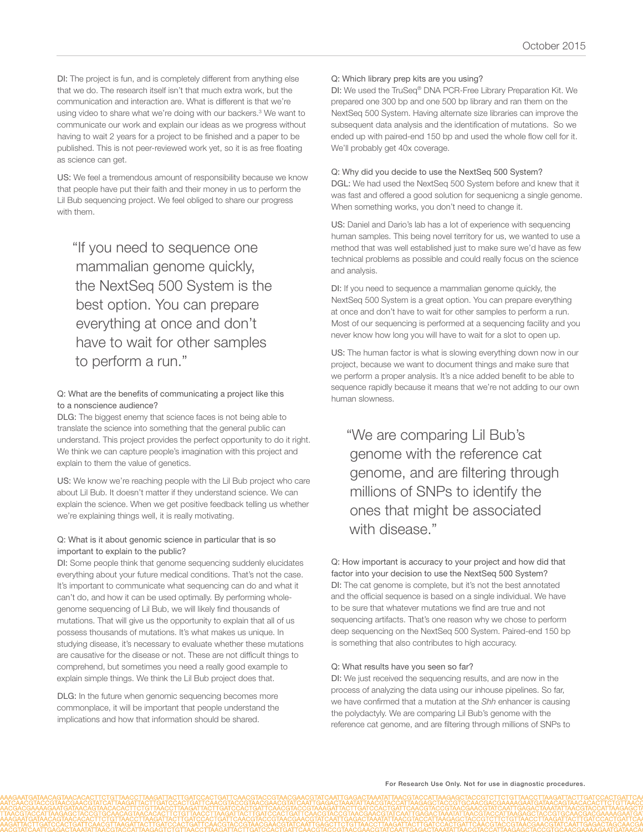DI: The project is fun, and is completely different from anything else that we do. The research itself isn't that much extra work, but the communication and interaction are. What is different is that we're using video to share what we're doing with our backers.<sup>3</sup> We want to communicate our work and explain our ideas as we progress without having to wait 2 years for a project to be finished and a paper to be published. This is not peer-reviewed work yet, so it is as free floating as science can get.

US: We feel a tremendous amount of responsibility because we know that people have put their faith and their money in us to perform the Lil Bub sequencing project. We feel obliged to share our progress with them.

"If you need to sequence one mammalian genome quickly, the NextSeq 500 System is the best option. You can prepare everything at once and don't have to wait for other samples to perform a run."

#### Q: What are the benefits of communicating a project like this to a nonscience audience?

DLG: The biggest enemy that science faces is not being able to translate the science into something that the general public can understand. This project provides the perfect opportunity to do it right. We think we can capture people's imagination with this project and explain to them the value of genetics.

US: We know we're reaching people with the Lil Bub project who care about Lil Bub. It doesn't matter if they understand science. We can explain the science. When we get positive feedback telling us whether we're explaining things well, it is really motivating.

#### Q: What is it about genomic science in particular that is so important to explain to the public?

DI: Some people think that genome sequencing suddenly elucidates everything about your future medical conditions. That's not the case. It's important to communicate what sequencing can do and what it can't do, and how it can be used optimally. By performing wholegenome sequencing of Lil Bub, we will likely find thousands of mutations. That will give us the opportunity to explain that all of us possess thousands of mutations. It's what makes us unique. In studying disease, it's necessary to evaluate whether these mutations are causative for the disease or not. These are not difficult things to comprehend, but sometimes you need a really good example to explain simple things. We think the Lil Bub project does that.

DLG: In the future when genomic sequencing becomes more commonplace, it will be important that people understand the implications and how that information should be shared.

#### Q: Which library prep kits are you using?

DI: We used the TruSeq® DNA PCR-Free Library Preparation Kit. We prepared one 300 bp and one 500 bp library and ran them on the NextSeq 500 System. Having alternate size libraries can improve the subsequent data analysis and the identification of mutations. So we ended up with paired-end 150 bp and used the whole flow cell for it. We'll probably get 40x coverage.

#### Q: Why did you decide to use the NextSeq 500 System?

DGL: We had used the NextSeq 500 System before and knew that it was fast and offered a good solution for sequenicng a single genome. When something works, you don't need to change it.

US: Daniel and Dario's lab has a lot of experience with sequencing human samples. This being novel territory for us, we wanted to use a method that was well established just to make sure we'd have as few technical problems as possible and could really focus on the science and analysis.

DI: If you need to sequence a mammalian genome quickly, the NextSeq 500 System is a great option. You can prepare everything at once and don't have to wait for other samples to perform a run. Most of our sequencing is performed at a sequencing facility and you never know how long you will have to wait for a slot to open up.

US: The human factor is what is slowing everything down now in our project, because we want to document things and make sure that we perform a proper analysis. It's a nice added benefit to be able to sequence rapidly because it means that we're not adding to our own human slowness.

"We are comparing Lil Bub's genome with the reference cat genome, and are filtering through millions of SNPs to identify the ones that might be associated with disease."

Q: How important is accuracy to your project and how did that factor into your decision to use the NextSeq 500 System? DI: The cat genome is complete, but it's not the best annotated and the official sequence is based on a single individual. We have to be sure that whatever mutations we find are true and not sequencing artifacts. That's one reason why we chose to perform deep sequencing on the NextSeq 500 System. Paired-end 150 bp is something that also contributes to high accuracy.

#### Q: What results have you seen so far?

DI: We just received the sequencing results, and are now in the process of analyzing the data using our inhouse pipelines. So far, we have confirmed that a mutation at the *Shh* enhancer is causing the polydactyly. We are comparing Lil Bub's genome with the reference cat genome, and are filtering through millions of SNPs to